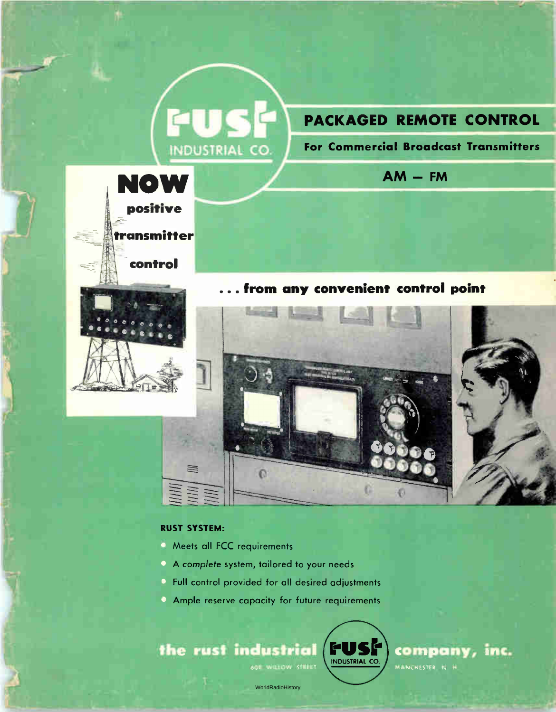# PACKAGED REMOTE CONTROL

For Commercial Broadcast Transmitters

 $AM - FM$ 



**QU** 

**INDUSTRIAL CO** 

... from any convenient control point **Bangley** 



#### **RUST SYSTEM:**

- A Meets all FCC requirements
- A complete system, tailored to your needs
- Full control provided for all desired adjustments
- Ample reserve capacity for future requirements





company, inc. MANCHESTER N H

WorldRadioHistory

**601 WILLOW STREET**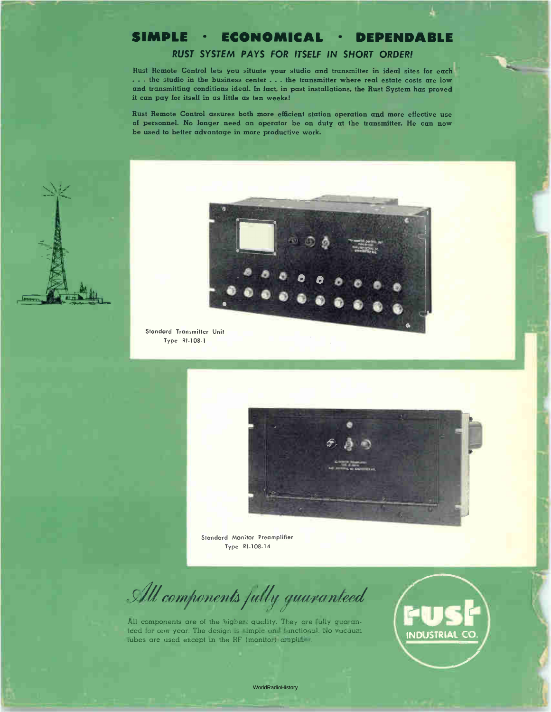#### SIMPLE • ECONOMICAL • DEPENDABLE

#### RUST SYSTEM PAYS FOR ITSELF IN SHORT ORDER!

Rust Remote Control lets you situate your studio and transmitter in ideal sites for each ... the studio in the business center ... the transmitter where real estate costs are low and transmitting conditions ideal. In fact, in past installations, the Rust System has proved it can pay for itself in as little as ten weeks!

Rust Remote Control assures both more efficient station operation and more effective use of personnel. No longer need an operator be on duty at the transmitter. He can now be used to better advantage in more productive work.





Standard Transmitter Unit Type RI-108-1



Standard Monitor Preamplifier Type RI-108-14

All components fully guaranteed

All components are of the highest quality. They are fully guaranteed for one year. The design is simple and functional. No vacuum tubes are used except in the RF (monitor) amplifier.

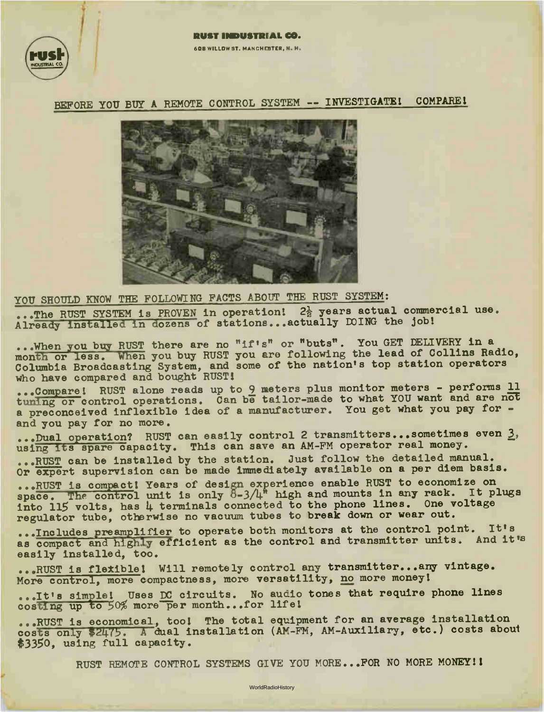

#### **60B WILLOW ST. MANCHESTER, N. H.**

BEFORE YOU BUY A REMOTE CONTROL SYSTEM -- INVESTIGATE! COMPARE!



YOU SHOULD KNOW THE FOLLOWING FACTS ABOUT THE RUST SYSTEM:

...The RUST SYSTEM is PROVEN in operation!  $2\frac{1}{2}$  years actual commercial use. Already installed in dozens of stations...actually DOING the job!

...When you buy RUST there are no "if's" or "buts". You GET DELIVERT IN a month or less. When you buy RUST you are following the lead of Collins Radio, Columbia Broadcasting System, and some of the nation's top station operators who have compared and bought Rusis

...Compare! RUST alone reads up to 9 meters plus monitor meters - performs 11 tuning or control operations. Can be tailor-made to what YOU want and are not a preconceived inflexible idea of a manufacturer. You get what you pay for and you pay for no more.

...Dual operation? RUST can easily control 2 transmitters...sometimes even 3, using its spare capacity. This can save an AM-FM operator real money.

...RUST can be installed by the station. Just follow the detailed manual. Or expert supervision can be made immediately available on a per diem basis.

...RUST is compact! Years of design experience enable RUST to economize on space. The control unit is only  $0-3/4$ " high and mounts in any rack. It plugs into 115 volts, has 4 terminals connected to the phone lines. One voltage regulator tube, otherwise no vacuum tubes to break down or wear out.

...Includes preamplifier to operate both monitors at the control point. It's as compact and highly efficient as the control and transmitter units. And it's easily installed, too.

...RUST is flexible! Will remotely control any transmitter... any vintage. More control, more compactness, more versatility, no more money!

...It's simple! Uses DC circuits. No audio tones that require phone lines costing up to 50% more per month...for life!

...RUST is economical, tool The total equipment for an average installation costs only \$2475. A dual installation (AM-FM, AM-Auxiliary, etc.) costs about \$335o, using full capacity.

RUST REMOTE CONTROL SYSTEMS GIVE YOU MORE... FOR NO MORE MONEY!!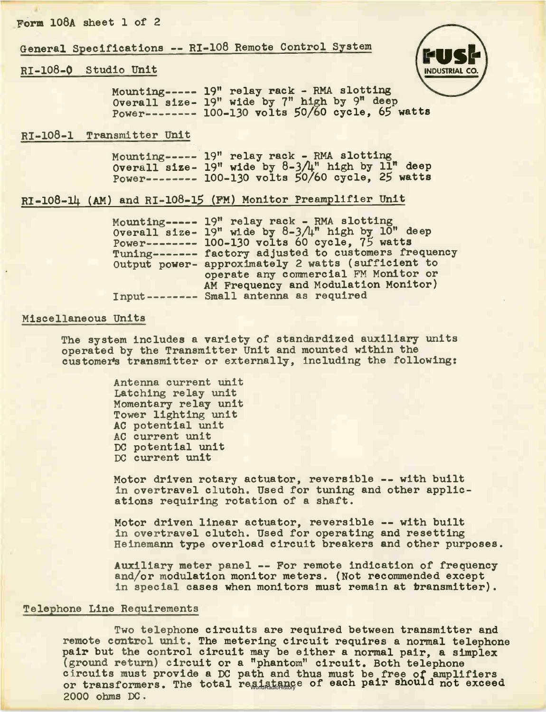#### Form 108A sheet 1 of 2

General Specifications -- RI-108 Remote Control System

#### RI-108-0 Studio Unit



Mounting 19" relay rack - RNA slotting Overall size-19" wide by 7" high by 9" deep Power 100-130 volts 50/60 cycle, 65 watts

#### RI-100-1 Transmitter Unit

Mounting 19" relay rack - RNA slotting Overall size-19" wide by 8-3/4" high by 11" deep Power-------- 100-130 volts 50/60 cycle, 25 watts

#### RI-108-14 (AM) and RI-108-15 (FM) Monitor Preamplifier Unit

Mounting 19" relay rack - RMA slotting Overall size-Power Tuning ------- ractory adjusted to customers frequency Output power-approximately 2 watts (sufficient to Input Small antenna as required 19" wide by 8-3/4" high by 10" deep 100-130 volts 60 cycle, 75 watts operate any commercial FM Monitor or AM Frequency and Modulation Monitor)

#### Miscellaneous Units

The system includes a variety of standardized auxiliary units operated by the Transmitter Unit and mounted within the customer's transmitter or externally, including the following:

> Antenna current unit Latching relay unit Momentary relay unit Tower lighting unit AC potential unit AC current unit DC potential unit DC current unit

Motor driven rotary actuator, reversible -- with built in overtravel clutch. Used for tuning and other applications requiring rotation of a shaft.

Motor driven linear actuator, reversible -- with built in overtravel clutch. Used for operating and resetting Heinemann type overload circuit breakers and other purposes.

Auxiliary meter panel -- For remote indication of frequency and/or modulation monitor meters. (Not recommended except in special cases when monitors must remain at transmitter).

#### Telephone Line Requirements

Two telephone circuits are required between transmitter and remote control unit. The metering circuit requires a normal telephone pair but the control circuit may be either a normal pair, a simplex (ground return) circuit or a "phantom" circuit. Both telephone circuits must provide a DC path and thus must be free of amplifiers or transformers. The total res<sub>onsadion</sub> of each pair should not exceed 2000 ohms DC.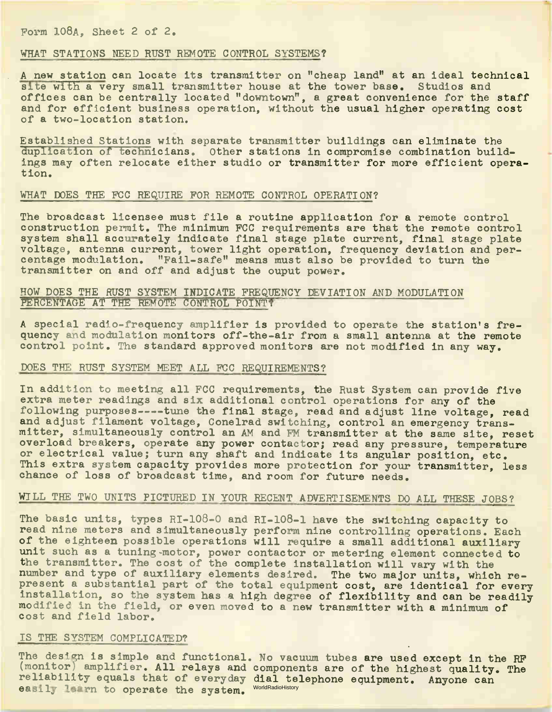#### Form 108A, Sheet 2 of 2.

#### WHAT STATIONS NEED RUST REMOTE CONTROL SYSTEMS?

A new station can locate its transmitter on "cheap land" at an ideal technical site with a very small transmitter house at the tower base. Studios and offices can be centrally located "downtown", a great convenience for the staff and for efficient business operation, without the usual higher operating cost of a two-location station.

Established Stations with separate transmitter buildings can eliminate the duplication of technicians. Other stations in compromise combination buildings may often relocate either studio or transmitter for more efficient operation.

#### WHAT DOES THE FCC REQUIRE FOR REMOTE CONTROL OPERATION?

The broadcast licensee must file a routine application for a remote control construction permit. The minimum FCC requirements are that the remote control system shall accurately indicate final stage plate current, final stage plate voltage, antenna current, tower light operation, frequency deviation and percentage modulation. "Fail-safe" means must also be provided to turn the transmitter on and off and adjust the ouput power.

#### HOW DOES THE RUST SYSTEM INDICATE FREQUENCY DEVIATION AND MODULATION PERCENTAGE AT THE REMOTE CONTROL POINT?

A special radio-frequency amplifier is provided to operate the station's frequency and modulation monitors off-the-air from a small antenna at the remote control point. The standard approved monitors are not modified in any way.

#### DOES THE RUST SYSTEM MEET ALL FCC REQUIREMENTS?

In addition to meeting all FCC requirements, the Rust System can provide five extra meter readings and six additional control operations for any of the following purposes----tune the final stage, read and adjust line voltage, read and adjust filament voltage, Conelrad switching, control an emergency transmitter, simultaneously control an AM and FM transmitter at the same site, reset overload breakers, operate any power contactor; read any pressure, temperature or electrical value; turn any shaft and indicate its angular position, etc. This extra system capacity provides more protection for your transmitter, less chance of loss of broadcast time, and room for future needs.

#### WILL THE TWO UNITS PICTURED IN YOUR RECENT ADVERTISEMENTS DO ALL THESE JOBS?

The basic units, types RI-108-0 and RI-108-1 have the switching capacity to read nine meters and simultaneously perform nine controlling operations. Each of the eighteen possible operations will require a small additional auxiliary unit such as a tuning-motor, power contactor or metering element connected to the transmitter. The cost of the complete installation will vary with the number and type of auxiliary elements desired. The two major units, which represent a substantial part of the total equipment cost, are identical for every installation, so the system has a high degree of flexibility and can be readily modified in the field, or even moved to a new transmitter with a minimum of cost and field labor.

#### IS THE SYSTEM COMPLICATED?

The design is simple and functional. No vacuum tubes are used except in the RF (monitor) amplifier. All relays and components are of the highest quality. The reliability equals that of everyday dial telephone equipment. Anyone can easily learn to operate the system. WorldRadioHistory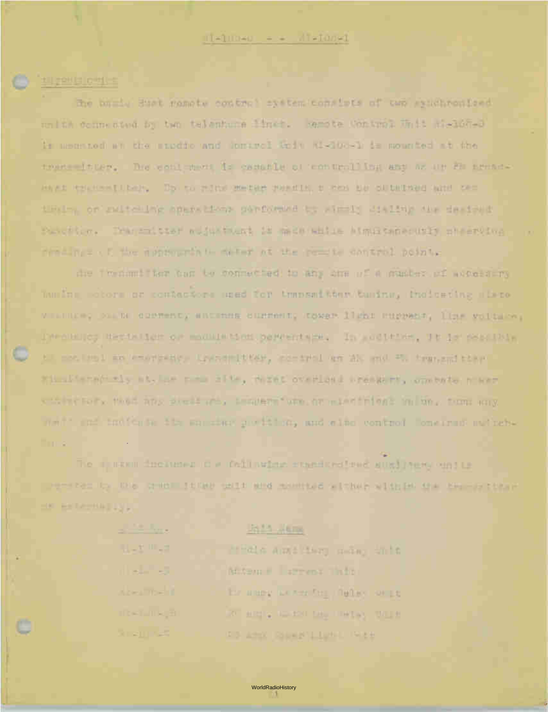#### 112013101111

the buris Sust gamete control system consists of two exactronized nn it coine sted by ten telenture linet. Remote Control White Selfel is meeting at the sudde and upried toly Ki-100-1 is sounded at the tructs in mer. The venil meet is contable of term until ing any at any fit newser-HAVES RELIGION [ I Day ] Day to religion the sale than disc in the content and the content of this or ruled we aparetical partyring to windly dialing the designat Parcillo, Transmitter aufustment is machineille almustance util pheervive needings of the appropriate the matter at the people control point.

the Trenomition ton to connected to any one of a master of avec inn huming motors or contactors used for thansad than tuning, theirsing sizes. м напасно род вы одиненноу институ опитанноу продел 1126 годумерт, При моглании, The soulies destalles or madulation betwentain, In addition, It is soulity til motivel an empressor lessentier, en earning and the motive of the rimsliterari il st. Lar para alle, tezet overland presart, combate n'arr citate for the fine any six inc. Incuber was brocketinient in any time any what and indicate its samples position, and class control concerns awizeb-Time.

The municipalities of failuring exactive subject western Democracy to this credit to be easy wind movement with a with the the man than m **IN BETAPHATISL** 

> **ULLE IIILE** the company Acer The T **TRET TREE** Sueju se

al Partidos

#### **United Walkers**

finds and the same off ALCOME STREET RIDE his altery as wer for illulars series **WE ARREST MONTE DAM THAT AN INFORMA-**FO AND REPAIRING THEFT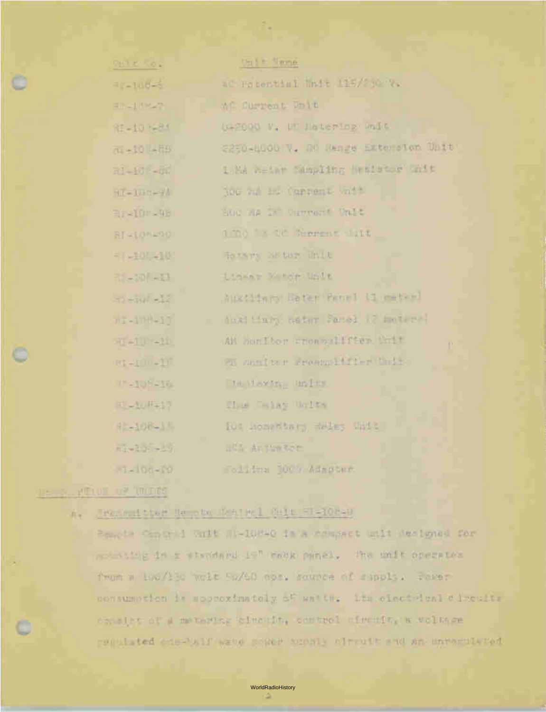| Vest of Co.s                                                                                                                                                                                                                                                                                                                                                                                        | Valle Neme                           |
|-----------------------------------------------------------------------------------------------------------------------------------------------------------------------------------------------------------------------------------------------------------------------------------------------------------------------------------------------------------------------------------------------------|--------------------------------------|
| -108-3                                                                                                                                                                                                                                                                                                                                                                                              | at Potential Unit 115/230 Ye         |
| エンゴ ロシアー                                                                                                                                                                                                                                                                                                                                                                                            | AC Current Onit                      |
| 워 - 10 N-84                                                                                                                                                                                                                                                                                                                                                                                         | 042000 V. DE Datering Walt           |
| TL-10 -HB                                                                                                                                                                                                                                                                                                                                                                                           | 2250-NUOD V. UM Menge Extersion Unit |
| $H = 16 + 64$                                                                                                                                                                                                                                                                                                                                                                                       | 1 MA Reine Sampling Wesleter Wilt    |
| HI-IDD-9A                                                                                                                                                                                                                                                                                                                                                                                           | Nou out the Current with             |
| <b>Breidre98</b>                                                                                                                                                                                                                                                                                                                                                                                    | about 21 Current Unit                |
| 8141094901                                                                                                                                                                                                                                                                                                                                                                                          | 1000 A CC Supreme 1:18               |
| HI -107-101                                                                                                                                                                                                                                                                                                                                                                                         | To visits has been light to          |
| 25-30/-33                                                                                                                                                                                                                                                                                                                                                                                           | Linear Mastr Unit                    |
| $\pm 1 - \ln(1 - \frac{1}{2})$                                                                                                                                                                                                                                                                                                                                                                      | Austin Deter Penel Limated           |
| $n1 - 110 - 11$                                                                                                                                                                                                                                                                                                                                                                                     | duki Mary natur Panel (2 moters)     |
| $(1 - 1)$ $(-1)$                                                                                                                                                                                                                                                                                                                                                                                    | AM Donitor soon oulffer thit         |
| ugapuratif                                                                                                                                                                                                                                                                                                                                                                                          | FI sanfts r Sroenmitffer Unit        |
| <b>IF all US allow</b>                                                                                                                                                                                                                                                                                                                                                                              | In the terms in the                  |
| 甲基亚甲基氯甲                                                                                                                                                                                                                                                                                                                                                                                             | Elem Telas Units                     |
| 92-108-1-                                                                                                                                                                                                                                                                                                                                                                                           | 10% RomerSary Reles Unit             |
| $\frac{1}{2} - \frac{1}{2} - \frac{1}{2} + \frac{1}{2} + \frac{1}{2} + \frac{1}{2} + \frac{1}{2} + \frac{1}{2} + \frac{1}{2} + \frac{1}{2} + \frac{1}{2} + \frac{1}{2} + \frac{1}{2} + \frac{1}{2} + \frac{1}{2} + \frac{1}{2} + \frac{1}{2} + \frac{1}{2} + \frac{1}{2} + \frac{1}{2} + \frac{1}{2} + \frac{1}{2} + \frac{1}{2} + \frac{1}{2} + \frac{1}{2} + \frac{1}{2} + \frac{1}{2} + \frac{1$ | <b>BASE AntiveRen</b>                |
| $N = 100 - 10$                                                                                                                                                                                                                                                                                                                                                                                      | Tolitma 100 / Admobar.               |

۶.

**PERMIT REPORTED** 

#### Transmitter Newton Mairel Main EL-108-0  $R_{\rm{B}}$

Peache Control Unit H-10840 is a compact unit Jesigned for where the drive whendard is" whok panel, the milt operates from a too/ted weit So/60 mps. sounce of sapply. Power consumption is soprazimately of watter the clasted and circuits consider of a motoring before for control efective weltage requisited answers were possed popully alterate and an unresolved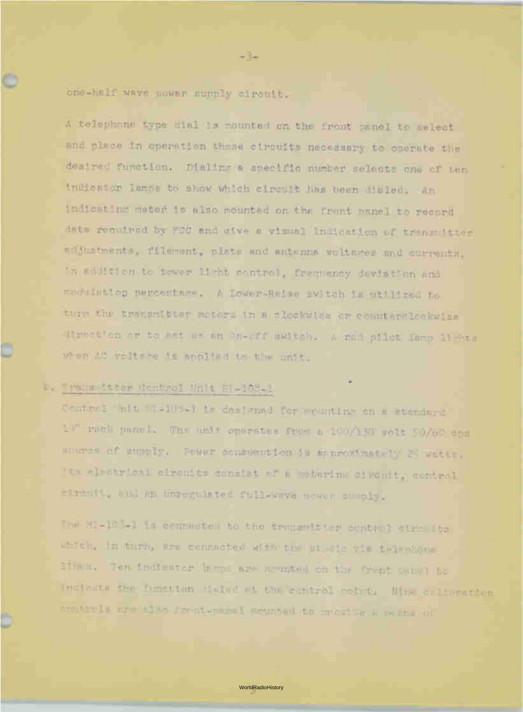one-half wave power supply circuit.

A telephone type dial is mounted on the front panel to select and place in operation those circuits necessary to operate the desired function. Dialing a specific number selects one of ten indicator lamps to show which circuit has been dialed. An indicating meter is also mounted on the front panel to record data required by FCC and give a visual indication of transmitter adjustments, filament, plate and antenna voltages and currents, in addition to tower light control, frequency deviation and modulation percentare. A Lower-Raise switch is utilized to turn the transmitter motors in a clockwise or counterclockwise direction or to act as an On-off Switch. A red pilot lamp lights when AC volta7e Is applied to the unit.

-3\_

## b. Transmitter Control 'Init Fr-108-1

₩

Control unit II-10'3-1 is designed for mounting on a standard 1:" rack panel. The unit operates from a 100/130 volt 50/60 cps source of supply. Power censumption is approximately 25 watts. 7ts electrical circuits consist of a Aleterini-c circuit, control circuit, and en unregulated full-wave near sumply.

The SI-10-1 is connected to the tringmitter control circuits which, in turn, are connected with the studio via telephone Unes. Ten indicator larips are mounted en th P front pïinel to indicate the function dieled et the control point. Nine clibration contre 13 are also front-panel mounted to meet as a means of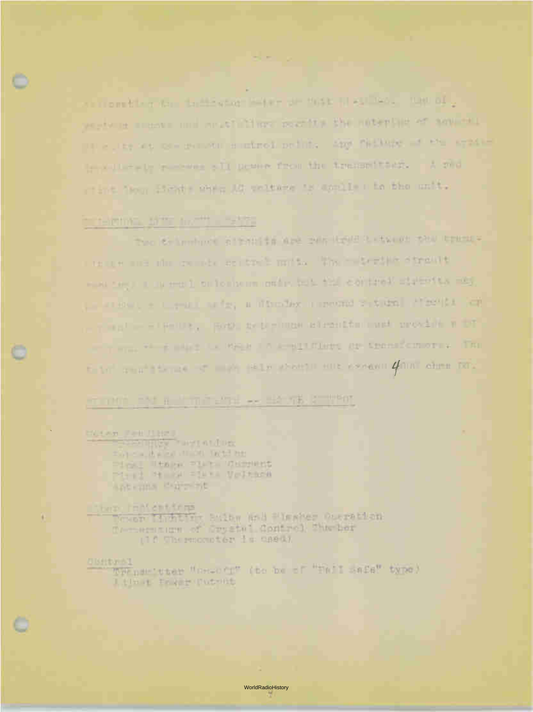so moretter to the test stor with the MARCHINES. The of. sections are made und craftellings pastity the noterline of agusta. the curry was not complete a infinity perfully. And finitiate as the second troville als receives all prove from the transmitter, A red of int from the differ Mi perture to applie the the unit.

 $\frac{1}{2} \frac{1}{2} \frac{1}{2} \frac{1}{2} \left( \frac{1}{2} \frac{1}{2} \right) \frac{1}{2} \left( \frac{1}{2} \frac{1}{2} \right) \frac{1}{2} \left( \frac{1}{2} \frac{1}{2} \right) \frac{1}{2} \left( \frac{1}{2} \frac{1}{2} \right) \frac{1}{2} \left( \frac{1}{2} \frac{1}{2} \right) \frac{1}{2} \left( \frac{1}{2} \frac{1}{2} \right) \frac{1}{2} \left( \frac{1}{2} \frac{1}{2} \right) \frac{1}{2} \left($ 

## THROUGH STREET, HE HAVE

The Crimmon attribute are the Day Hold P. (Eq. (2) the training the man was also create an trail mark, the constitute otherwith www.cego.com world on formula models but the control streets, may provided a communicate, information investigation (1984) and - The Post of Bellis, Bowl as Distinge admitted and provide with The same with a many the street of acceleration are transformation of the to be a sent theme of many state should sure expense 4000 change for-

#### of the California and the Earth Company

Marken Felt Hitch ... may man it will be a finally that they Pinel Reagan Plan Gargaint Pine H of Sire Veltace Antenna Barrent

## Starp, Innient from

Tower Inditin Sulty and Plaster Operation Companium of Crystel Control The Lor (10 Thermorniter is used)

#### **TANGHALD**

We numbered Whereo out the beach withit safe" type) I time Frem Putnit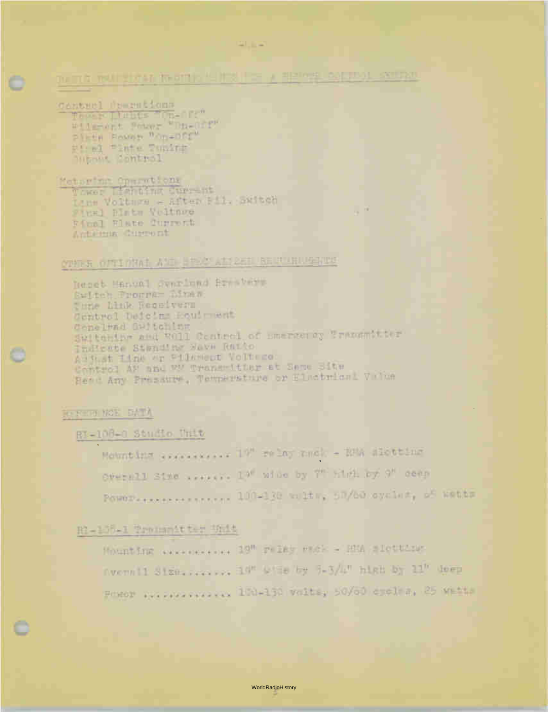## THE THE TOOL STATE IN A 1999 IN THE REPORT OF THE REAL AND TAKEN AND THE REAL AND THE REAL AND THE REAL AND THE REAL AND THE REAL AND THE REAL AND THE REAL AND DESCRIPTION OF A REAL AND DESCRIPTION OF A REAL AND DESCRIPTIO

- -

Cantrel Descritions Thomas Ibnits Com-off"<br>Wilmort Power "Da-Off" Pinth Rowse "On-Dir #1:61 "Inte Tuning Within Control

Meteriar Operations Lanm Voltuge - After Bill, Skitch First Blatz Neitnee Final Elate durrent Antelema Cuseront

# OTHER OFFICIAL AND HEAD AND RESERVATION OF

Deset Hanvel Synrinad Brastery Buiden Program Dinas This Link Reselvers Gentral Deteins Rouiment Conelwad Galtening Switchips and WGll Centrel of Bmerkerdy Transmitter Author Line or Pilement Voltego: Control AF and We Trans-itter at Same Site Head Any Pressure, Temperature or Electrical Value

## Reserve Note EATA

RI-108-0 Studio Unit

Mounting assessment lift relay and - BMA Misting OVERALL Size Assess. 19" wide by 7" kind by 9" cean Power-second-second 100-130 wubber 50/60 cycler, of Wetter

 $16 - 18$ 

H2-155-1 Troughitted Shit

Hounting weavenesses 19" relay week a HMA slouting Avenuell Size: ....... 19" Wile by 9-3/4" high by 11" doep Power Descriptions and 190-130 voits, 50/60 cocles, 25 Matts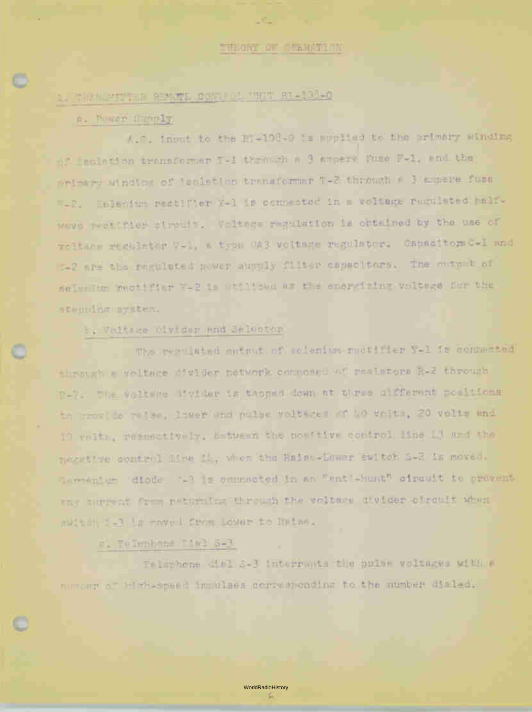$\mathcal{L}_{\text{max}}$ 

# $\circ$  . 1. Trends of the Million Contol and Contol Contol Conto

#### a. Power Supply

A.C. input to the RI-108-0 Is applied to the primary winding of iscletion transformer T-1 through a 3 ampere fuse F-1, end the primary winding of isolation trensformer T-2 through a 3 ampere fuse r-?. Selenium rectifier Y-1 is connected in a voltage regulated halfwave rectifier circuit. Voltage regulation is obtained by the use of voltage regulator V-1, a type 0A3 vcltage regulator. Capacitors C-1 and c-2 are the regulated power supuly filter capacitors. The output of seleniun rectifier Y-2 is etillzed as the energizing voltage for the stepping system.

#### b. Voltege Divider And Selector

The regulated output of scienium rectifier Y-1 is connected thesust a voltage divider network composed of resistors R-2 through R-7. The voltage divider is tamped down at three different positions te crovide relse. lower and pulse voltages of 40 volts, 20 volts and 11 voltc, respectively, between the positive control line L3 and the negative control line L14, en the Raise-Lower switch S-2 is moved. Germenium diode -3 is connected in an "entl-hunt" circuit to prevent any cerrent from returning through the voltage divider circuit when auttan: die moved from Lower to Raise.

## c. Telephone Mal S-3

Telephone dial S-3 interrupts the pulse voltages with a nurters of high-speed impulses corresponding to the number dialed.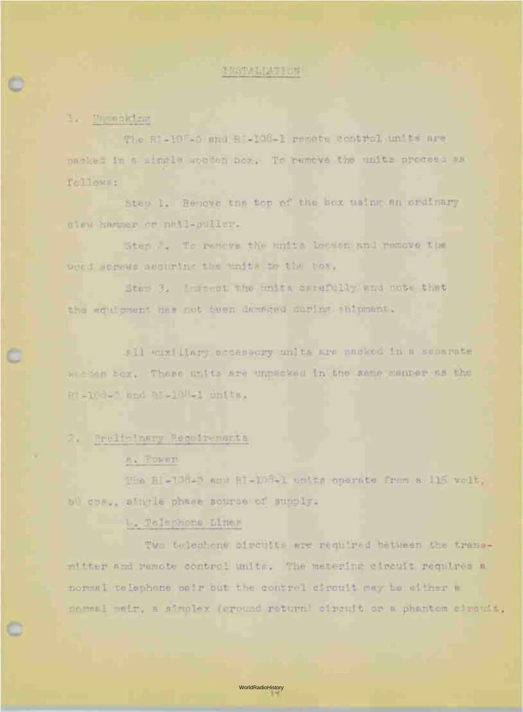#### **INSTALLATION**

## 1. Threaking

The  $R$  -108-0 and  $R$  -108-1 remote control units are packed in a single wooden box. To remove the units proceea as follows:

Step 1. Remove the top of the box using an ordinary claw hammer or nail-puller.

Step 2.. To remove the units loosen and remove the weed screws securing the units to the box.

Step 3. Inspect the units carefully and note that the equipment has not been demared during shipment.

All auxiliary accessory units are packed in a separate wcien box. These units are unpacked in the same manner as the RI:.-10-C) and RI-108-1 units.

#### 2. Preliminary Requirements

#### ra. Power

The RT-138-0 and RI-108-1 units operate from a 115 volt, 60 cps., single phase source of supply.

#### U. Telephone Lines

Two telephone circuits are required between the transmitter and remote control units. The metering circuit requires a normal telephone pair but the control circuit may be either a normal pair, a simplex (ground return) circuit or a phantom circuit.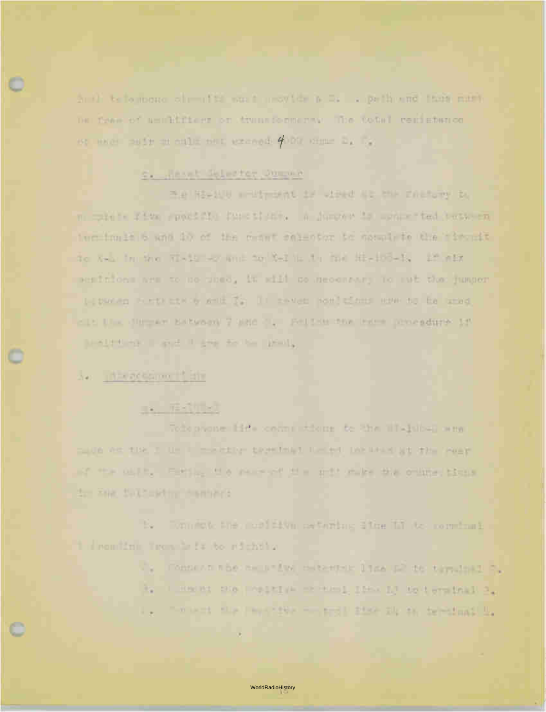had to open chemit a suit acyter p R. . prin and then nutt De free of amakifiers on transformance. The total remistence or more pair on cult out exceed 400% dime by by

## c. Result Saleston Dummer

The REPAIR WHERE IF LINE WE THE FALLEY IN m more rith product the tight. A juncar is some ted took to luctionis to which you the comet salestor to speak to the ticouit do A-a in the Ri-M -o and to X-I is in the Hi-Ho-K, at air sentatons are to so used, it will so secondary to sub the jumper is packed become and in It rever seniging are no be used <It II . Jurier Estward 7 and J. Fellen for remaining it THAT I A THAT I AN A THINK IN THE

## as the actament and

# **TAL TESTING**

Voteprone Hills come where to the Hi-jubel and made with the I can't make the terminal the ed location at the reary AT THE OWER ... FIRE IS A VEH WITH THE STATE OF THE OTHER ISSUE. to Five Syles with themself

-52 Tommete the modifical metering fine in to communi-1 deemiin Tron is it to sichtly

- V. Connervate her near for maternate land to terring at
- 24 I Have the Pearl ( I will lead it follows in the local
- 不可以是 机不同 化转移 医舌骨部 建胶化 动小的 经管理商务业 **.**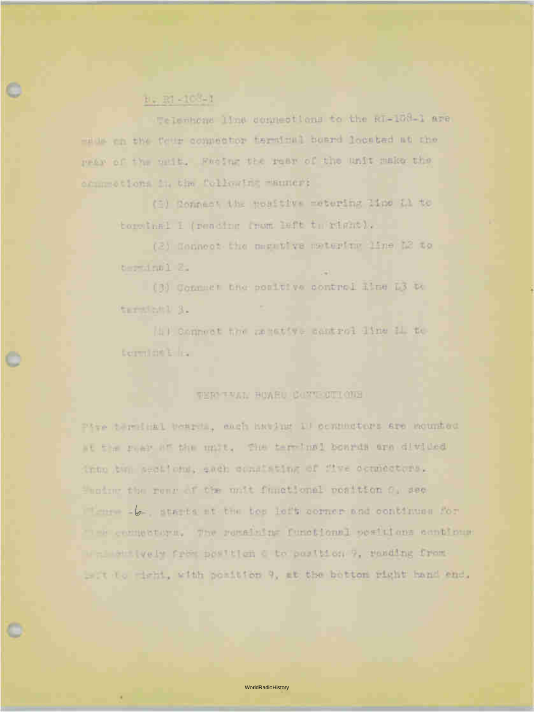## b. RI -108-1

Telenhone line connections to the RI-108-1 are made on the fell' connector terminal board located at the rear cf the unit. pacing the rear cf the unit make the connections in the followiru manner:

(1) Connect the positive metering line Li to terminal I (reading from left to right).

(2) Connect the negative metering line L2 to terminal 2.

(3) Connect the positive control line L3 to termi nr 1 3.

(1) Connect the newtody control line il to bermint E. I.

#### TERY TALLY HOWED COTTONS

Five term5nal boards, each having 10 connectors are mounted at the rear of the unit, the terminal boards are divided into two sections, each consisting of five connectors. the rear of the unit functional position 0, see  $\mathcal{C}$  - starts at the top left corner and continues for e. connectors. The remaining functional positions continue up is the leady from position 0 to position 9, reading from left to right, with position 9, at the bottom right hand end.

o -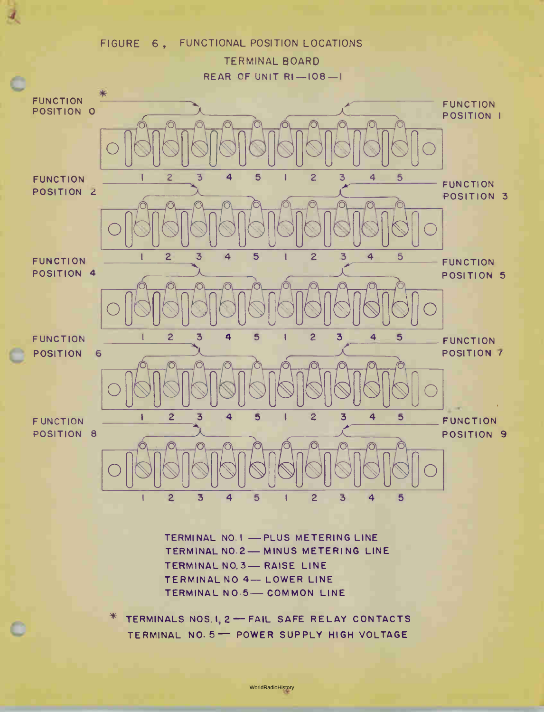# FIGURE 6, FUNCTIONAL POSITION LOCATIONS TERMINAL BOARD REAR OF UNIT  $RI-108-1$



TERMINAL NO.1 - PLUS METERING LINE TERMINAL NO.2-MINUS METERING LINE TERMINAL NO. 3- RAISE LINE TERMINAL NO 4- LOWER LINE TERMINAL NO.5- COMMON LINE

 $*$  TERMINALS NOS. 1, 2 – FAIL SAFE RELAY CONTACTS TERMINAL NO. 5 - POWER SUPPLY HIGH VOLTAGE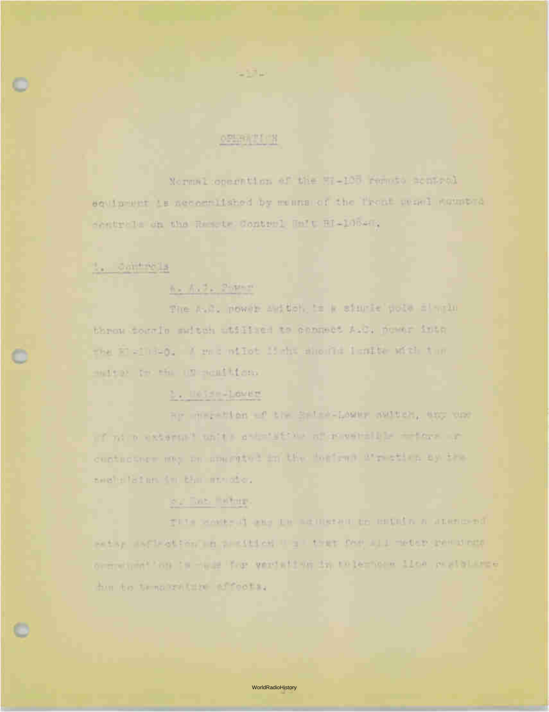### 0.55 H TT H

 $=100$ 

Normal coperation of the SI-100 remaio sculptel squimment is necessifished by mennanci the Trent weans segment Westerle th the Resole Contest Halt Hi-10045;

#### to controlla

## the Audio Potter

The A.C. power skitch, is a starte pole similar throw down To multen within the connect A.C. newer into the Williems / recontint is the shorie lander with the mater In the UN members.

## 5. U053 - 1 over

ar argentes of the Sales-Lower switch, and war of nice external units actorate a market and a serious artes custuctors may an unumited in the bottoms wire then by the sweletistum (m. bhm monober,

## ser The Saturn

give seems of any to account to munda a anomoral PARAY INFORMATION IS A PARTICULAR THAT DAY ALL MATCH (DAY STREET ordiving" on in the True You would be the coler come ilow, pushelling a due to to no wattire afforts.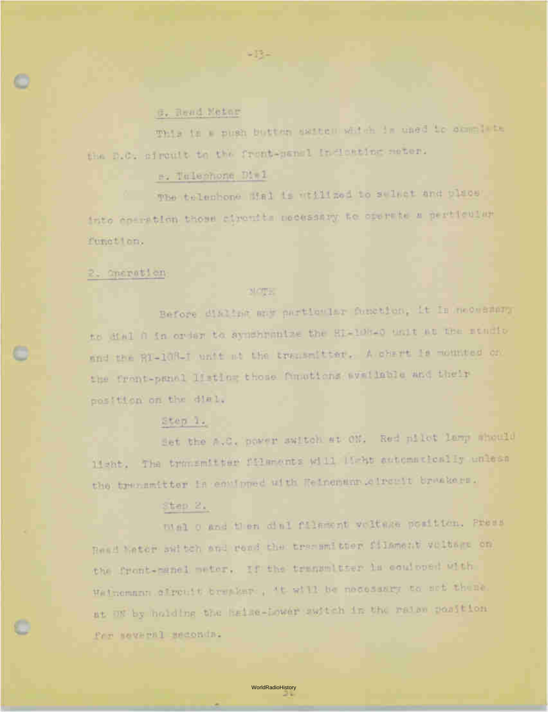#### d. Read Meter

This is a push button switch which is used to complete the D.C. circuit to the front-panel inclosing meter.

## e. Telephone Dial

The telephone dial is utilized to select and place into operation those circuits necessary to operate a particular function.

#### 2. Operation

 $\bullet$ 

#### MOTE.

 $= 13 -$ 

Before dialing any particular function, it is necessary to dial 0 in order to synchronize the RI-108-0 unit at the studio and the RI-103-I unit at the transmitter. A chart is mounted on the front-panel listing those functions available and their position on the dial.

## Step 1.

Set the A.C. power switch at ON. Red pilot lamp should light. The transmitter filaments will light automatically unless the transmitter is equipped with Reinemann corrects braskers.

#### Step 2.

Dial 0 and then dial filament voltage position. Press Read Yeter switch and read the transmitter filament voltage on the front-panel meter. If the transmitter is equipped with Heinemann circuit breaker, 't will be necessary to set these. at ON by holding the haise-Lower switch in the raise position for several seconds.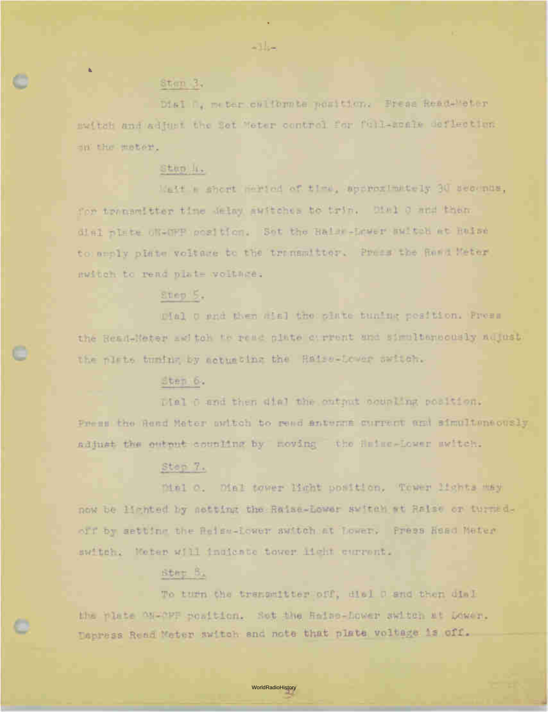# c Step 3.

Dial 0, meter calibrate position. Press Read-Meter switch and adjust the Set Meter control for full-scale deflection on the meter.

-14-

## Stap 4.

'ait a short neriod of time, approximately 30 seconds, for transmitter time delay switches to trip. Dial 0 and then dial plate ON-OFF position. Set the Raise-Lower switch at Raise to anoly plate voltage to the transmitter. Press the Read Meter switch to read plate woltage.

#### Step: 5.

Dial 0 and then dial the plate tuning position. Press the Read-Meter awitch te read plate cyrrent and simultaneously adjust. the plate tuning by actuating the Raise-Lower switch.

#### Step 6.

Dial 0 and then dial the output coupling position. Press the Read Meter switch to read antenna current and simultaneously adjust the cutout coupling by moving the Raise-Lower switch.

#### Step 7.

Dial O. Dial tower light position. Tower lights may now be lighted by setting the Raise-Lower switch at Raise or turnedoff by setting the Raise-Lower switch at Lower. Press Read Meter switch. Meter will indicate tower light current.

## Step 8.

To turn the transmitter off, dial 0 and then dial the plate ON-OFF position. Set the Raise-Lower switch at Lower. Depress Read Meter switch and note that plate voltage is off.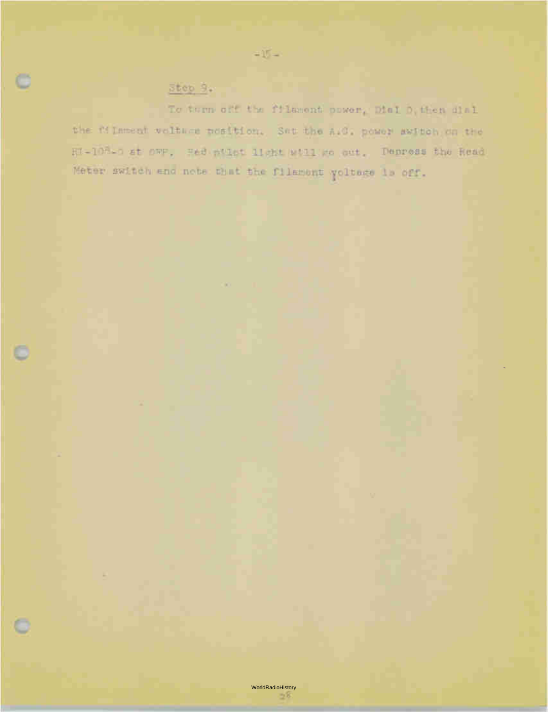# $\frac{5}{2}$  tep  $\frac{9}{2}$ .

c

ö

To turn off the filmsont power, Dial D, then dial the filament welther position. Set the A.G. power awitch on the RI-108-1 at over, Red milet light will me aut. Depress the Read Meter switch and note that the filament voltage is off.

 $\sim15-$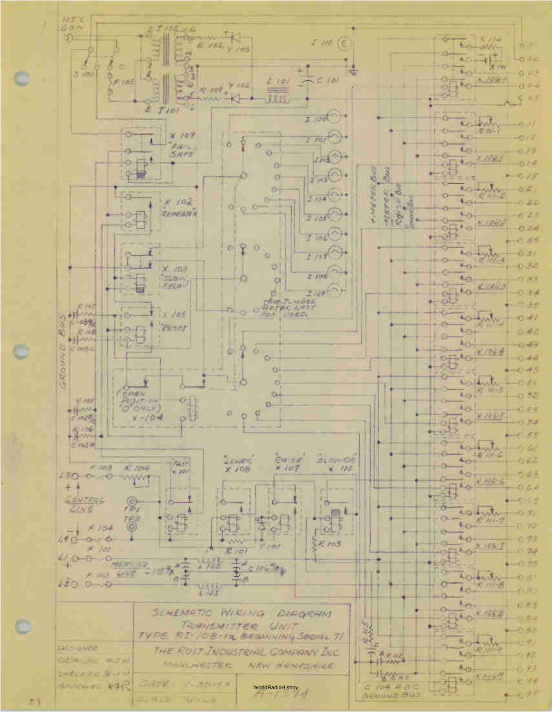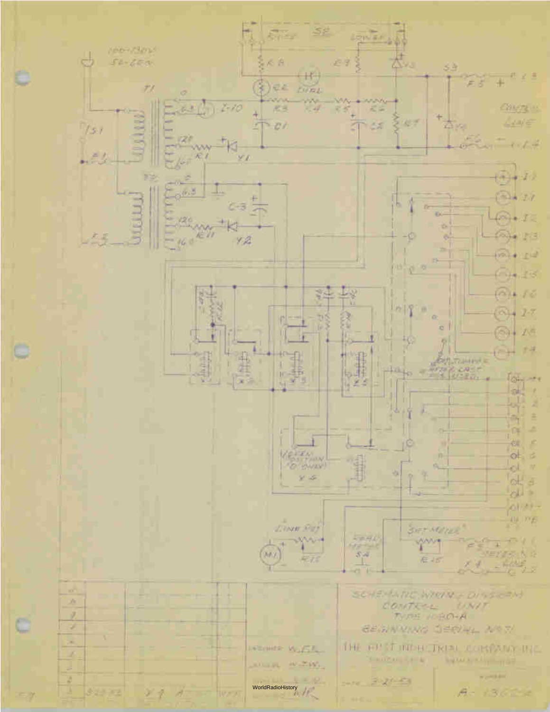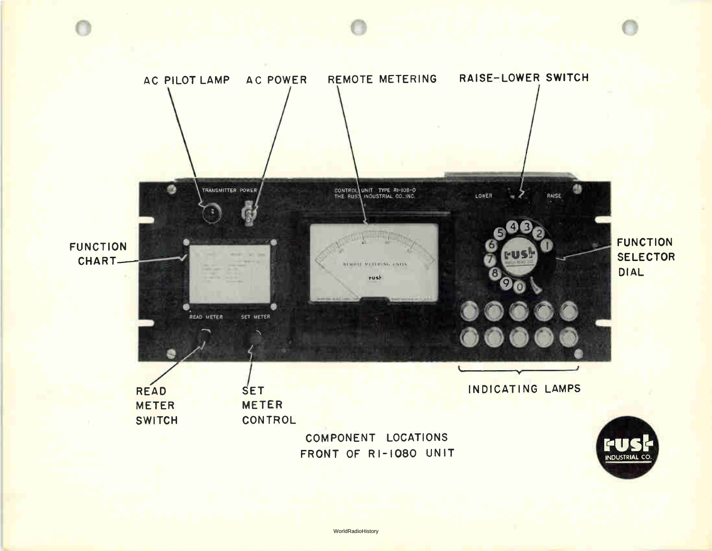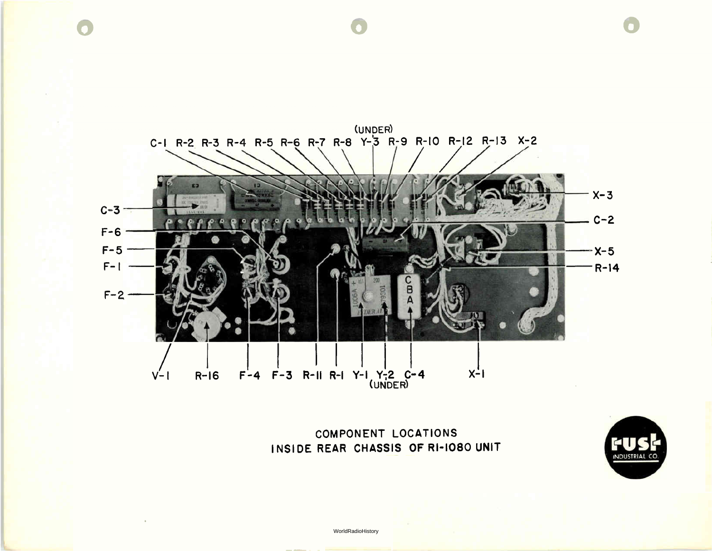

COMPONENT LOCATIONS INSIDE REAR CHASSIS OF RI-1080 UNIT

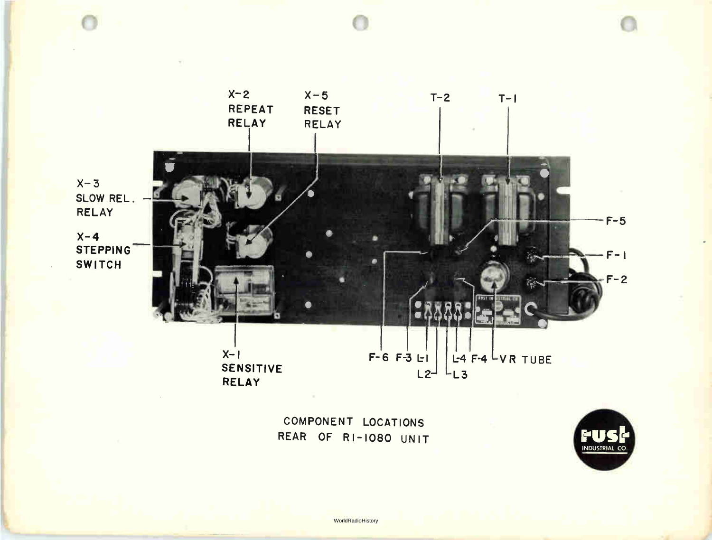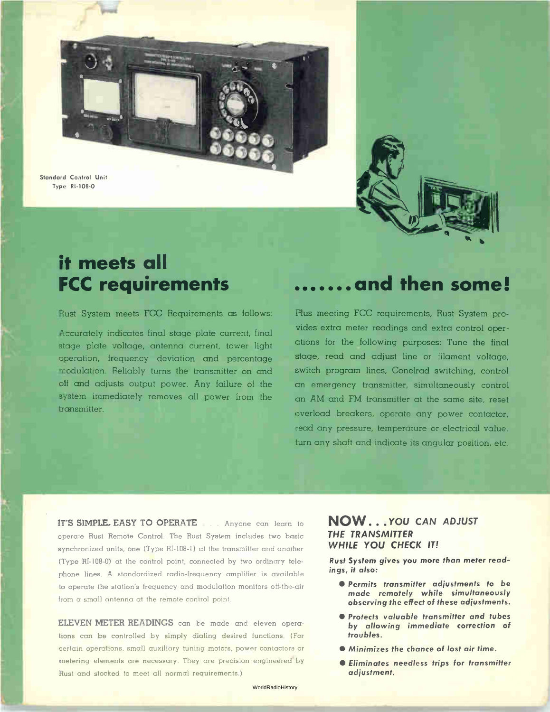Standard Control Unit Type RI-108-0



# **In the FC**<br>In the Second Second Second Second Second Second Second Second Second Second Second Second Second Second Second <br>In the Second Second Second Second Second Second Second Second Second Second Second Second Second it meets all FCC requirements

Rust System meets FCC Requirements as follows:

Accurately indicates final stage plate current, final stage plate voltage, antenna current, tower light operation, frequency deviation and percentage modulation. Reliably turns the transmitter on and off and adjusts output power. Any failure of the system immediately removes all power from the transmitter.

# •••••••and then some!

Plus meeting FCC requirements, Rust System provides extra meter readings and extra control operations for the following purposes: Tune the final stage, read and adjust line or filament voltage, switch program lines, Conelrad switching, control an emergency transmitter, simultaneously control an AM and FM transmitter at the same site, reset overload breakers, operate any power contactor, read any pressure, temperature or electrical value, turn any shaft and indicate its angular position, etc.

IT'S SIMPLE, EASY TO OPERATE . . . Anyone can learn to operate Rust Remote Control. The Rust System includes two basic synchronized units, one (Type RI-108-1) at the transmitter and another (Type RI-108-0) at the control point, connected by two ordinary telephone lines. A standardized radio-frequency amplifier is available to operate the station's frequency and modulation monitors off-the-air from a small antenna at the remote control point.

ELEVEN METER READINGS can be made and eleven operations can be controlled by simply dialing desired functions. (For certain operations, small auxiliary tuning motors, power contactors or metering elements are necessary They are precision engineered by Rust and stocked to meet all normal requirements.)

#### NOW... YOU CAN ADJUST THE TRANSMITTER WHILE YOU CHECK IT!

Rust System gives you more than meter readings, it also:

- **Permits transmitter adjustments to be** made remotely while simultaneously observing the effect of these adjustments.
- **Protects valuable transmitter and tubes** by allowing immediate correction of troubles.
- Minimizes the chance of lost air time.
- Eliminates needless trips for transmitter adjustment.